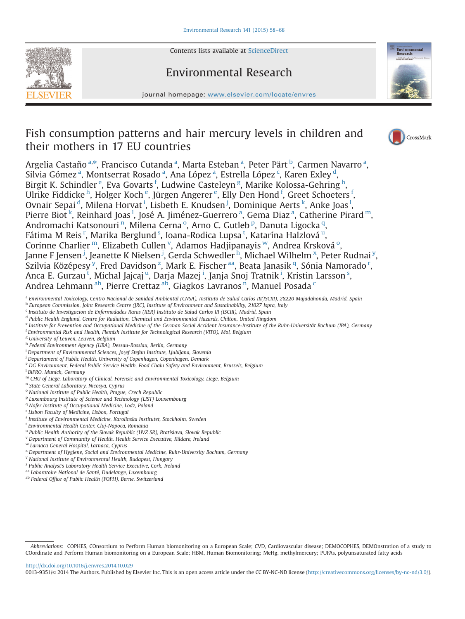

Contents lists available at [ScienceDirect](www.sciencedirect.com/science/journal/00139351)

# Environmental Research

journal homepage: <www.elsevier.com/locate/envres>se $\mathcal{C}$ 



# Fish consumption patterns and hair mercury levels in children and their mothers in 17 EU countries



Argelia Castaño <sup>a,\*</sup>, Fra[n](#page-1-0)cisco Cutanda <sup>a</sup>, Marta Esteban <sup>a</sup>, Peter Pärt <sup>b</sup>, Carmen Navarro <sup>a</sup>, Silvia Gómez<sup>a</sup>, Montserrat Rosado<sup>a</sup>, Ana López<sup>a</sup>, Estrella López<sup>c</sup>, Karen Exley<sup>d</sup>, Birgit K. Schindler <sup>e</sup>, Eva Govarts <sup>f</sup>, Ludwine Casteleyn <sup>g</sup>, Marike Kolossa-Gehring <sup>h</sup>, Ulrike Fiddicke <sup>h</sup>, Holger Koch <sup>e</sup>, Jürgen Angerer <sup>e</sup>, Elly Den Hond f, Greet Schoeters f, Ovnair Sepai <sup>d</sup>, Milena Horvat <sup>i</sup>, Lisbeth E. Knudsen <sup>j</sup>, Dominique Aerts <sup>k</sup>, Anke Joas <sup>l</sup>, Pierre Biot <sup>k</sup>, Reinhard Joas <sup>I</sup>, José A. Jiménez-Guerrero <sup>a</sup>, Gema Diaz <sup>a</sup>, Catherine Pirard <sup>m</sup>, Andromachi Katsonouri<sup>n</sup>, Milena Cerna<sup>o</sup>, Arno C. Gutleb<sup>p</sup>, Danuta Ligocka<sup>q</sup>, Fátima M Reis <sup>r</sup>, Marika Berglund <sup>s</sup>, Ioana-Rodica Lupsa <sup>t</sup>, Katarína Halzlová <sup>u</sup>, Corinne Charlier<sup>m</sup>, Elizabeth Cullen<sup>v</sup>, Adamos Hadjipanayis<sup>w</sup>, Andrea Krsková<sup>o</sup>, Janne F Jensen <sup>j</sup>, Jeanette K Nielsen <sup>j</sup>, Gerda Schwedler <sup>h</sup>, Michael Wilhelm <sup>x</sup>, Peter Rudnai <sup>y</sup>, Szilvia Középesy<sup>'y</sup>, Fred Davidson<sup>2</sup>, Mark E. Fischer <sup>aa</sup>, Beata Janasik <sup>q</sup>, Sónia Namorado <sup>r</sup>, Anca E. Gurzau<sup>t</sup>, Michal Jajcaj <sup>u</sup>, Darja Mazej <sup>i</sup>, Janja Snoj Tratnik <sup>i</sup>, Kristin Larsson <sup>s</sup>, Andrea Lehmann<sup>ab</sup>, Pierre Crettaz<sup>ab</sup>, Giagkos Lavranos<sup>n</sup>, Manuel Posada <sup>c</sup>

- a Environmental Toxicology, Centro Nacional de Sanidad Ambiental (CNSA), Instituto de Salud Carlos III(ISCIII), 28220 Majadahonda, Madrid, Spain
- <sup>b</sup> European Commission, Joint Research Centre (JRC), Institute of Environment and Sustainability, 21027 Ispra, Italy
- <sup>c</sup> Instituto de Investigacion de Enfermedades Raras (IIER) Instituto de Salud Carlos III (ISCIII), Madrid, Spain
- <sup>d</sup> Public Health England, Centre for Radiation, Chemical and Environmental Hazards, Chilton, United Kingdom
- <sup>e</sup> Institute for Prevention and Occupational Medicine of the German Social Accident Insurance-Institute of the Ruhr-Universität Bochum (IPA), Germany
- <sup>f</sup> Environmental Risk and Health, Flemish Institute for Technological Research (VITO), Mol, Belgium
- <sup>g</sup> University of Leuven, Leuven, Belgium
- h Federal Environment Agency (UBA), Dessau-Rosslau, Berlin, Germany
- <sup>i</sup> Department of Environmental Sciences, Jožef Stefan Institute, Ljubljana, Slovenia
- <sup>j</sup> Departament of Public Health, University of Copenhagen, Copenhagen, Demark
- <sup>k</sup> DG Environment, Federal Public Service Health, Food Chain Safety and Environment, Brussels, Belgium
- <sup>l</sup> BiPRO, Munich, Germany
- m CHU of Liege, Laboratory of Clinical, Forensic and Environmental Toxicology, Liege, Belgium
- <sup>n</sup> State General Laboratory, Nicosya, Cyprus
- <sup>o</sup> National Institute of Public Health, Prague, Czech Republic
- <sup>p</sup> Luxembourg Institute of Science and Technology (LIST) Louxembourg
- <sup>q</sup> Nofer Institute of Occupational Medicine, Lodz, Poland
- <sup>r</sup> Lisbon Faculty of Medicine, Lisbon, Portugal
- <sup>s</sup> Institute of Environmental Medicine, Karolinska Institutet, Stockholm, Sweden
- <sup>t</sup> Environmental Health Center, Cluj-Napoca, Romania
- <sup>u</sup> Public Health Authority of the Slovak Republic (UVZ SR), Bratislava, Slovak Republic
- <sup>v</sup> Department of Community of Health, Health Service Executive, Kildare, Ireland
- <sup>w</sup> Larnaca General Hospital, Larnaca, Cyprus
- <sup>x</sup> Department of Hygiene, Social and Environmental Medicine, Ruhr-University Bochum, Germany
- <sup>y</sup> National Institute of Environmental Health, Budapest, Hungary
- <sup>z</sup> Public Analyst's Laboratory Health Service Executive, Cork, Ireland
- aa Laboratoire National de Santé, Dudelange, Luxembourg
- ab Federal Office of Public Health (FOPH), Berne, Switzerland

<http://dx.doi.org/10.1016/j.envres.2014.10.029>

0013-9351/@ 2014 The Authors. Published by Elsevier Inc. This is an open access article under the CC BY-NC-ND license (http://creativecommons.org/licenses/by-nc-nd/3.0/).

Abbreviations: COPHES, COnsortium to Perform Human biomonitoring on a European Scale; CVD, Cardiovascular disease; DEMOCOPHES, DEMOnstration of a study to COordinate and Perform Human biomonitoring on a European Scale; HBM, Human Biomonitoring; MeHg, methylmercury; PUFAs, polyunsaturated fatty acids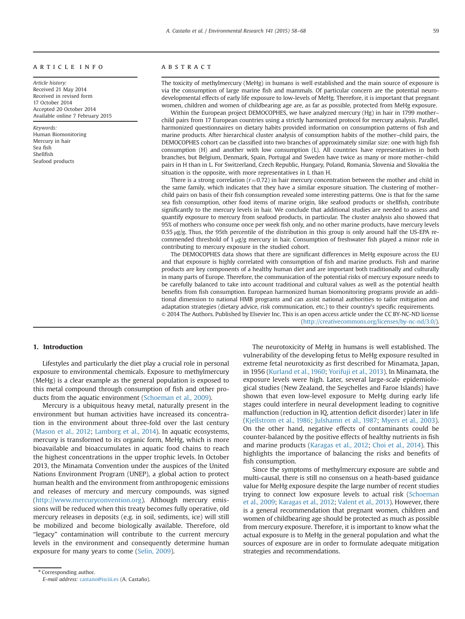#### <span id="page-1-0"></span>article info

Article history: Received 21 May 2014 Received in revised form 17 October 2014 Accepted 20 October 2014 Available online 7 February 2015

Keywords: Human Biomonitoring Mercury in hair Sea fish Shellfish Seafood products

## **ABSTRACT**

The toxicity of methylmercury (MeHg) in humans is well established and the main source of exposure is via the consumption of large marine fish and mammals. Of particular concern are the potential neurodevelopmental effects of early life exposure to low-levels of MeHg. Therefore, it is important that pregnant women, children and women of childbearing age are, as far as possible, protected from MeHg exposure.

Within the European project DEMOCOPHES, we have analyzed mercury (Hg) in hair in 1799 mother– child pairs from 17 European countries using a strictly harmonized protocol for mercury analysis. Parallel, harmonized questionnaires on dietary habits provided information on consumption patterns of fish and marine products. After hierarchical cluster analysis of consumption habits of the mother–child pairs, the DEMOCOPHES cohort can be classified into two branches of approximately similar size: one with high fish consumption (H) and another with low consumption (L). All countries have representatives in both branches, but Belgium, Denmark, Spain, Portugal and Sweden have twice as many or more mother–child pairs in H than in L. For Switzerland, Czech Republic, Hungary, Poland, Romania, Slovenia and Slovakia the situation is the opposite, with more representatives in L than H.

There is a strong correlation ( $r=0.72$ ) in hair mercury concentration between the mother and child in the same family, which indicates that they have a similar exposure situation. The clustering of mother– child pairs on basis of their fish consumption revealed some interesting patterns. One is that for the same sea fish consumption, other food items of marine origin, like seafood products or shellfish, contribute significantly to the mercury levels in hair. We conclude that additional studies are needed to assess and quantify exposure to mercury from seafood products, in particular. The cluster analysis also showed that 95% of mothers who consume once per week fish only, and no other marine products, have mercury levels 0.55 μg/g. Thus, the 95th percentile of the distribution in this group is only around half the US-EPA recommended threshold of 1 μg/g mercury in hair. Consumption of freshwater fish played a minor role in contributing to mercury exposure in the studied cohort.

The DEMOCOPHES data shows that there are significant differences in MeHg exposure across the EU and that exposure is highly correlated with consumption of fish and marine products. Fish and marine products are key components of a healthy human diet and are important both traditionally and culturally in many parts of Europe. Therefore, the communication of the potential risks of mercury exposure needs to be carefully balanced to take into account traditional and cultural values as well as the potential health benefits from fish consumption. European harmonized human biomonitoring programs provide an additional dimension to national HMB programs and can assist national authorities to tailor mitigation and adaptation strategies (dietary advice, risk communication, etc.) to their country's specific requirements. & 2014 The Authors. Published by Elsevier Inc. This is an open access article under the CC BY-NC-ND license

(http://creativecommons.org/licenses/by-nc-nd/3.0/).

## 1. Introduction

Lifestyles and particularly the diet play a crucial role in personal exposure to environmental chemicals. Exposure to methylmercury (MeHg) is a clear example as the general population is exposed to this metal compound through consumption of fish and other products from the aquatic environment [\(Schoeman et al., 2009](#page-10-0)).

Mercury is a ubiquitous heavy metal, naturally present in the environment but human activities have increased its concentration in the environment about three-fold over the last century ([Mason et al., 2012;](#page-10-0) [Lamborg et al., 2014\)](#page-10-0). In aquatic ecosystems, mercury is transformed to its organic form, MeHg, which is more bioavailable and bioaccumulates in aquatic food chains to reach the highest concentrations in the upper trophic levels. In October 2013, the Minamata Convention under the auspices of the United Nations Environment Program (UNEP), a global action to protect human health and the environment from anthropogenic emissions and releases of mercury and mercury compounds, was signed (<http://www.mercuryconvention.org>). Although mercury emissions will be reduced when this treaty becomes fully operative, old mercury releases in deposits (e.g. in soil, sediments, ice) will still be mobilized and become biologically available. Therefore, old "legacy" contamination will contribute to the current mercury levels in the environment and consequently determine human exposure for many years to come [\(Selin, 2009\)](#page-10-0).

multi-causal, there is still no consensus on a heath-based guidance value for MeHg exposure despite the large number of recent studies trying to connect low exposure levels to actual risk [\(Schoeman](#page-10-0) [et al., 2009](#page-10-0); [Karagas et al., 2012](#page-10-0); [Valent et al., 2013\)](#page-10-0). However, there is a general recommendation that pregnant women, children and women of childbearing age should be protected as much as possible from mercury exposure. Therefore, it is important to know what the actual exposure is to MeHg in the general population and what the sources of exposure are in order to formulate adequate mitigation strategies and recommendations.

The neurotoxicity of MeHg in humans is well established. The vulnerability of the developing fetus to MeHg exposure resulted in extreme fetal neurotoxicity as first described for Minamata, Japan, in 1956 ([Kurland et al., 1960](#page-10-0); [Yorifuji et al., 2013](#page-10-0)). In Minamata, the exposure levels were high. Later, several large-scale epidemiological studies (New Zealand, the Seychelles and Faroe Islands) have shown that even low-level exposure to MeHg during early life stages could interfere in neural development leading to cognitive malfunction (reduction in IQ, attention deficit disorder) later in life ([Kjellstrom et al., 1986;](#page-10-0) [Julshamn et al., 1987](#page-10-0); [Myers et al., 2003\)](#page-10-0). On the other hand, negative effects of contaminants could be counter-balanced by the positive effects of healthy nutrients in fish and marine products ([Karagas et al., 2012;](#page-10-0) [Choi et al., 2014](#page-9-0)). This highlights the importance of balancing the risks and benefits of fish consumption. Since the symptoms of methylmercury exposure are subtle and

E-mail address: [castano@isciii.es](mailto:castano@isciii.es) (A. Castaño).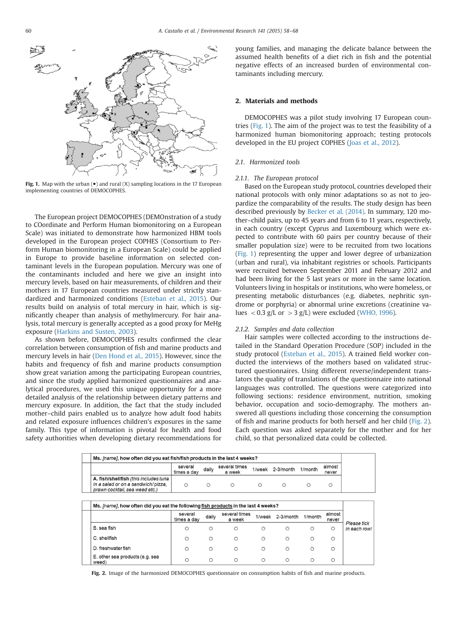<span id="page-2-0"></span>

Fig. 1. Map with the urban  $(\bullet)$  and rural  $(X)$  sampling locations in the 17 European implementing countries of DEMOCOPHES.

The European project DEMOCOPHES (DEMOnstration of a study to COordinate and Perform Human biomonitoring on a European Scale) was initiated to demonstrate how harmonized HBM tools developed in the European project COPHES (Consortium to Perform Human biomonitoring in a European Scale) could be applied in Europe to provide baseline information on selected contaminant levels in the European population. Mercury was one of the contaminants included and here we give an insight into mercury levels, based on hair measurements, of children and their mothers in 17 European countries measured under strictly standardized and harmonized conditions ([Esteban et al., 2015\)](#page-9-0). Our results build on analysis of total mercury in hair, which is significantly cheaper than analysis of methylmercury. For hair analysis, total mercury is generally accepted as a good proxy for MeHg exposure ([Harkins and Susten, 2003](#page-10-0)).

As shown before, DEMOCOPHES results confirmed the clear correlation between consumption of fish and marine products and mercury levels in hair ([Den Hond et al., 2015\)](#page-9-0). However, since the habits and frequency of fish and marine products consumption show great variation among the participating European countries, and since the study applied harmonized questionnaires and analytical procedures, we used this unique opportunity for a more detailed analysis of the relationship between dietary patterns and mercury exposure. In addition, the fact that the study included mother–child pairs enabled us to analyze how adult food habits and related exposure influences children's exposures in the same family. This type of information is pivotal for health and food safety authorities when developing dietary recommendations for young families, and managing the delicate balance between the assumed health benefits of a diet rich in fish and the potential negative effects of an increased burden of environmental contaminants including mercury.

## 2. Materials and methods

DEMOCOPHES was a pilot study involving 17 European countries (Fig. 1). The aim of the project was to test the feasibility of a harmonized human biomonitoring approach; testing protocols developed in the EU project COPHES ([Joas et al., 2012](#page-10-0)).

#### 2.1. Harmonized tools

#### 2.1.1. The European protocol

Based on the European study protocol, countries developed their national protocols with only minor adaptations so as not to jeopardize the comparability of the results. The study design has been described previously by [Becker et al. \(2014\).](#page-9-0) In summary, 120 mother–child pairs, up to 45 years and from 6 to 11 years, respectively, in each country (except Cyprus and Luxembourg which were expected to contribute with 60 pairs per country because of their smaller population size) were to be recruited from two locations (Fig. 1) representing the upper and lower degree of urbanization (urban and rural), via inhabitant registries or schools. Participants were recruited between September 2011 and February 2012 and had been living for the 5 last years or more in the same location. Volunteers living in hospitals or institutions, who were homeless, or presenting metabolic disturbances (e.g. diabetes, nephritic syndrome or porphyria) or abnormal urine excretions (creatinine values  $<$  0.3 g/L or  $>$  3 g/L) were excluded ([WHO, 1996](#page-10-0)).

#### 2.1.2. Samples and data collection

Hair samples were collected according to the instructions detailed in the Standard Operation Procedure (SOP) included in the study protocol [\(Esteban et al., 2015\)](#page-9-0). A trained field worker conducted the interviews of the mothers based on validated structured questionnaires. Using different reverse/independent translators the quality of translations of the questionnaire into national languages was controlled. The questions were categorized into following sections: residence environment, nutrition, smoking behavior, occupation and socio-demography. The mothers answered all questions including those concerning the consumption of fish and marine products for both herself and her child (Fig. 2). Each question was asked separately for the mother and for her child, so that personalized data could be collected.

| Ms. [name], how often did you eat fish/fish products in the last 4 weeks?                                       |  |  |  |  |  |  |  |  |  |  |
|-----------------------------------------------------------------------------------------------------------------|--|--|--|--|--|--|--|--|--|--|
| several times<br>almost<br>several<br>2-3/month<br>daily<br>1/week<br>1/month<br>a week<br>times a day<br>never |  |  |  |  |  |  |  |  |  |  |
| A. fish/shellfish (this includes tuna<br>in a salad or on a sandwich/pizza,<br>prawn cocktail, sea weed etc.)   |  |  |  |  |  |  |  |  |  |  |

| Ms. [name], how often did you eat the following fish products in the last 4 weeks?                                 |   |   |         |         |         |   |   |                             |  |
|--------------------------------------------------------------------------------------------------------------------|---|---|---------|---------|---------|---|---|-----------------------------|--|
| several times<br>almost<br>several<br>daily<br>2-3/month<br>1/week<br>$1/m$ onth<br>times a day<br>a week<br>never |   |   |         |         |         |   |   |                             |  |
| B. sea fish                                                                                                        | O | C | О       | $\circ$ | $\circ$ | О | O | Please tick<br>in each row! |  |
| C. shellfish                                                                                                       | O | O | O       | $\circ$ | $\circ$ | ∩ | O |                             |  |
| D. freshwater fish                                                                                                 | O | O | $\circ$ | $\circ$ | $\circ$ | O | O |                             |  |
| E. other sea products (e.g. sea<br>weed)                                                                           | O | O | O       | $\circ$ | $\circ$ | ∩ | O |                             |  |

Fig. 2. Image of the harmonized DEMOCOPHES questionnaire on consumption habits of fish and marine products.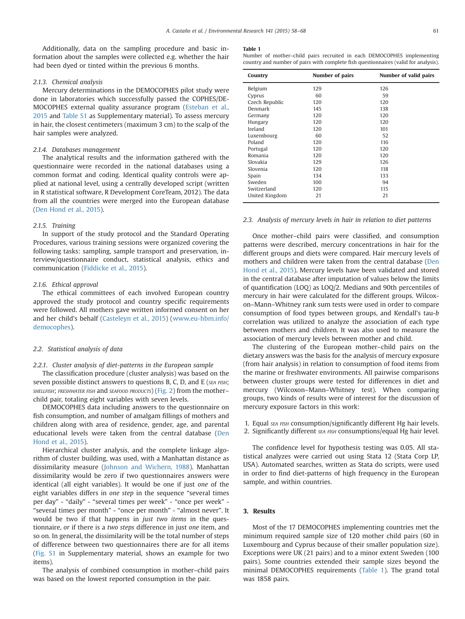<span id="page-3-0"></span>Additionally, data on the sampling procedure and basic information about the samples were collected e.g. whether the hair had been dyed or tinted within the previous 6 months.

#### 2.1.3. Chemical analysis

Mercury determinations in the DEMOCOPHES pilot study were done in laboratories which successfully passed the COPHES/DE-MOCOPHES external quality assurance program ([Esteban et al.,](#page-9-0) [2015](#page-9-0) and Table S1 as Supplementary material). To assess mercury in hair, the closest centimeters (maximum 3 cm) to the scalp of the hair samples were analyzed.

#### 2.1.4. Databases management

The analytical results and the information gathered with the questionnaire were recorded in the national databases using a common format and coding. Identical quality controls were applied at national level, using a centrally developed script (written in R statistical software, R Development CoreTeam, 2012). The data from all the countries were merged into the European database ([Den Hond et al., 2015\)](#page-9-0).

## 2.1.5. Training

In support of the study protocol and the Standard Operating Procedures, various training sessions were organized covering the following tasks: sampling, sample transport and preservation, interview/questionnaire conduct, statistical analysis, ethics and communication ([Fiddicke et al., 2015\)](#page-9-0).

#### 2.1.6. Ethical approval

The ethical committees of each involved European country approved the study protocol and country specific requirements were followed. All mothers gave written informed consent on her and her child's behalf [\(Casteleyn et al., 2015](#page-9-0)) [\(www.eu-hbm.info/](http://www.eu-hbm.info/democophes) [democophes](http://www.eu-hbm.info/democophes)).

### 2.2. Statistical analysis of data

#### 2.2.1. Cluster analysis of diet-patterns in the European sample

The classification procedure (cluster analysis) was based on the seven possible distinct answers to questions B, C, D, and E (SEA FISH; SHELLFISH; FRESHWATER FISH and SEAFOOD PRODUCTS) ([Fig. 2](#page-2-0)) from the motherchild pair, totaling eight variables with seven levels.

DEMOCOPHES data including answers to the questionnaire on fish consumption, and number of amalgam fillings of mothers and children along with area of residence, gender, age, and parental educational levels were taken from the central database [\(Den](#page-9-0) [Hond et al., 2015\)](#page-9-0).

Hierarchical cluster analysis, and the complete linkage algorithm of cluster building, was used, with a Manhattan distance as dissimilarity measure [\(Johnson and Wichern, 1988\)](#page-10-0). Manhattan dissimilarity would be zero if two questionnaires answers were identical (all eight variables). It would be one if just one of the eight variables differs in one step in the sequence "several times per day" - "daily" - "several times per week" - "once per week" - "several times per month" - "once per month" - "almost never". It would be two if that happens in just two items in the questionnaire, or if there is a two steps difference in just one item, and so on. In general, the dissimilarity will be the total number of steps of difference between two questionnaires there are for all items (Fig. S1 in Supplementary material, shows an example for two items).

The analysis of combined consumption in mother–child pairs was based on the lowest reported consumption in the pair.

#### Table 1

Number of mother–child pairs recruited in each DEMOCOPHES implementing country and number of pairs with complete fish questionnaires (valid for analysis).

| Country        | Number of pairs | Number of valid pairs |
|----------------|-----------------|-----------------------|
| Belgium        | 129             | 126                   |
| Cyprus         | 60              | 59                    |
| Czech Republic | 120             | 120                   |
| Denmark        | 145             | 138                   |
| Germany        | 120             | 120                   |
| Hungary        | 120             | 120                   |
| Ireland        | 120             | 101                   |
| Luxembourg     | 60              | 52                    |
| Poland         | 120             | 116                   |
| Portugal       | 120             | 120                   |
| Romania        | 120             | 120                   |
| Slovakia       | 129             | 126                   |
| Slovenia       | 120             | 118                   |
| Spain          | 134             | 133                   |
| Sweden         | 100             | 94                    |
| Switzerland    | 120             | 115                   |
| United Kingdom | 21              | 21                    |

#### 2.3. Analysis of mercury levels in hair in relation to diet patterns

Once mother–child pairs were classified, and consumption patterns were described, mercury concentrations in hair for the different groups and diets were compared. Hair mercury levels of mothers and children were taken from the central database [\(Den](#page-9-0) [Hond et al., 2015](#page-9-0)). Mercury levels have been validated and stored in the central database after imputation of values below the limits of quantification (LOQ) as LOQ/2. Medians and 90th percentiles of mercury in hair were calculated for the different groups. Wilcoxon–Mann–Whitney rank sum tests were used in order to compare consumption of food types between groups, and Kendall's tau-b correlation was utilized to analyze the association of each type between mothers and children. It was also used to measure the association of mercury levels between mother and child.

The clustering of the European mother–child pairs on the dietary answers was the basis for the analysis of mercury exposure (from hair analysis) in relation to consumption of food items from the marine or freshwater environments. All pairwise comparisons between cluster groups were tested for differences in diet and mercury (Wilcoxon–Mann–Whitney test). When comparing groups, two kinds of results were of interest for the discussion of mercury exposure factors in this work:

- 1. Equal SEA FISH consumption/significantly different Hg hair levels.
- 2. Significantly different SEA FISH consumptions/equal Hg hair level.

The confidence level for hypothesis testing was 0.05. All statistical analyzes were carried out using Stata 12 (Stata Corp LP, USA). Automated searches, written as Stata do scripts, were used in order to find diet-patterns of high frequency in the European sample, and within countries.

## 3. Results

Most of the 17 DEMOCOPHES implementing countries met the minimum required sample size of 120 mother child pairs (60 in Luxembourg and Cyprus because of their smaller population size). Exceptions were UK (21 pairs) and to a minor extent Sweden (100 pairs). Some countries extended their sample sizes beyond the minimal DEMOCOPHES requirements (Table 1). The grand total was 1858 pairs.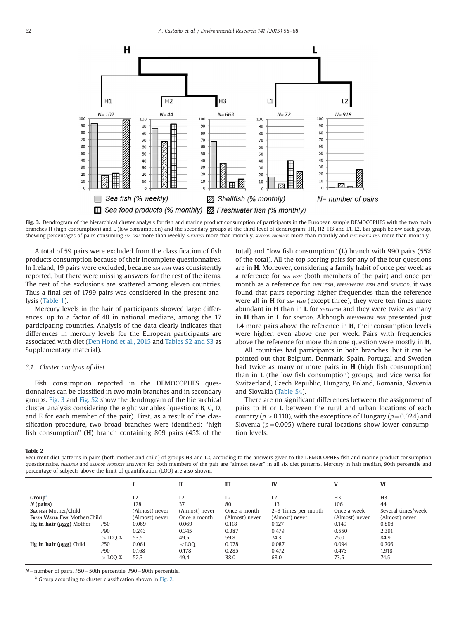<span id="page-4-0"></span>

Fig. 3. Dendrogram of the hierarchical cluster analysis for fish and marine product consumption of participants in the European sample DEMOCOPHES with the two main branches H (high consumption) and L (low consumption) and the secondary groups at the third level of dendrogram: H1, H2, H3 and L1, L2. Bar graph below each group, showing percentages of pairs consuming SEA FISH more than weekly, SHELLFISH more than monthly, SEAFOOD PRODUCTS more than monthly and FRESHWATER FISH more than monthly.

A total of 59 pairs were excluded from the classification of fish products consumption because of their incomplete questionnaires. In Ireland, 19 pairs were excluded, because SEA FISH was consistently reported, but there were missing answers for the rest of the items. The rest of the exclusions are scattered among eleven countries. Thus a final set of 1799 pairs was considered in the present analysis ([Table 1](#page-3-0)).

Mercury levels in the hair of participants showed large differences, up to a factor of 40 in national medians, among the 17 participating countries. Analysis of the data clearly indicates that differences in mercury levels for the European participants are associated with diet [\(Den Hond et al., 2015](#page-9-0) and Tables S2 and S3 as Supplementary material).

## 3.1. Cluster analysis of diet

Fish consumption reported in the DEMOCOPHES questionnaires can be classified in two main branches and in secondary groups. Fig. 3 and Fig. S2 show the dendrogram of the hierarchical cluster analysis considering the eight variables (questions B, C, D, and E for each member of the pair). First, as a result of the classification procedure, two broad branches were identified: "high fish consumption" (H) branch containing 809 pairs (45% of the

total) and "low fish consumption" (L) branch with 990 pairs (55% of the total). All the top scoring pairs for any of the four questions are in H. Moreover, considering a family habit of once per week as a reference for SEA FISH (both members of the pair) and once per month as a reference for SHELLFISH, FRESHWATER FISH and SEAFOOD, it was found that pairs reporting higher frequencies than the reference were all in **H** for *SEA FISH* (except three), they were ten times more abundant in  $H$  than in  $L$  for  $SHELLFISH$  and they were twice as many in H than in L for SEAFOOD. Although FRESHWATER FISH presented just 1.4 more pairs above the reference in  $H$ , their consumption levels were higher, even above one per week. Pairs with frequencies above the reference for more than one question were mostly in H.

All countries had participants in both branches, but it can be pointed out that Belgium, Denmark, Spain, Portugal and Sweden had twice as many or more pairs in H (high fish consumption) than in L (the low fish consumption) groups, and vice versa for Switzerland, Czech Republic, Hungary, Poland, Romania, Slovenia and Slovakia (Table S4).

There are no significant differences between the assignment of pairs to H or L between the rural and urban locations of each country ( $p > 0.110$ ), with the exceptions of Hungary ( $p = 0.024$ ) and Slovenia ( $p=0.005$ ) where rural locations show lower consumption levels.

#### Table 2

Recurrent diet patterns in pairs (both mother and child) of groups H3 and L2, according to the answers given to the DEMOCOPHES fish and marine product consumption questionnaire. SHELLFISH and SEAFOOD PRODUCTS answers for both members of the pair are "almost never" in all six diet patterns. Mercury in hair median, 90th percentile and percentage of subjects above the limit of quantification (LOQ) are also shown.

|                                      |                 |                | п              | Ш              | IV                  | V              | VI                 |
|--------------------------------------|-----------------|----------------|----------------|----------------|---------------------|----------------|--------------------|
| Group <sup>a</sup>                   |                 | L2             | L2             | L <sub>2</sub> | L2                  | H <sub>3</sub> | H <sub>3</sub>     |
| $N$ (pairs)                          |                 | 128            | 37             | 80             | 113                 | 106            | 44                 |
| <b>SEA FISH Mother/Child</b>         |                 | (Almost) never | (Almost) never | Once a month   | 2–3 Times per month | Once a week    | Several times/week |
| <b>FRESH WATER FISH Mother/Child</b> |                 | (Almost) never | Once a month   | (Almost) never | (Almost) never      | (Almost) never | (Almost) never     |
| Hg in hair $(\mu g/g)$ Mother        | P <sub>50</sub> | 0.069          | 0.069          | 0.118          | 0.127               | 0.149          | 0.808              |
|                                      | P <sub>90</sub> | 0.243          | 0.345          | 0.387          | 0.479               | 0.550          | 2.391              |
|                                      | $>$ LOO $\%$    | 53.5           | 49.5           | 59.8           | 74.3                | 75.0           | 84.9               |
| Hg in hair $(\mu g/g)$ Child         | P <sub>50</sub> | 0.061          | $<$ LOO        | 0.078          | 0.087               | 0.094          | 0.766              |
|                                      | P <sub>90</sub> | 0.168          | 0.178          | 0.285          | 0.472               | 0.473          | 1.918              |
|                                      | $>$ LOQ $\%$    | 52.3           | 49.4           | 38.0           | 68.0                | 73.5           | 74.5               |

 $N$ = number of pairs. P50=50th percentile. P90=90th percentile.

<sup>a</sup> Group according to cluster classification shown in [Fig. 2](#page-2-0).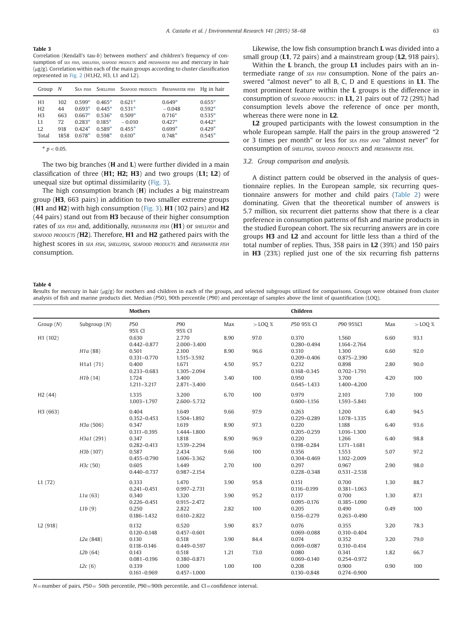#### <span id="page-5-0"></span>Table 3

Correlation (Kendall's tau-b) between mothers' and children's frequency of consumption of SEA FISH, SHELLFISH, SEAFOOD PRODUCTS and FRESHWATER FISH and mercury in hair (μg/g). Correlation within each of the main groups according to cluster classification represented in [Fig. 2](#page-2-0) (H1,H2, H3, L1 and L2).

| Group          | - N  | Sea fish |          | SHELLFISH SEAFOOD PRODUCTS | Freshwater fish | Hg in hair |
|----------------|------|----------|----------|----------------------------|-----------------|------------|
| H1             | 102  | $0.599*$ | $0.465*$ | $0.621*$                   | $0.649*$        | $0.655*$   |
| H <sub>2</sub> | 44   | $0.693*$ | $0.445*$ | $0.531*$                   | $-0.048$        | $0.592*$   |
| H <sub>3</sub> | 663  | $0.667*$ | $0.536*$ | $0.509*$                   | $0.716*$        | $0.535*$   |
| L1             | 72   | $0.283*$ | $0.185*$ | $-0.010$                   | $0.427*$        | $0.442*$   |
| L <sub>2</sub> | 918  | $0.424*$ | $0.589*$ | $0.455*$                   | $0.699*$        | $0.429*$   |
| Total          | 1858 | $0.678*$ | $0.598*$ | $0.610*$                   | $0.748*$        | $0.545*$   |

\*  $p < 0.05$ .

The two big branches (**H** and **L**) were further divided in a main classification of three  $(H1; H2; H3)$  and two groups  $(L1; L2)$  of unequal size but optimal dissimilarity [\(Fig. 3\)](#page-4-0).

The high consumption branch (H) includes a big mainstream group (H3, 663 pairs) in addition to two smaller extreme groups ( $H1$  and  $H2$ ) with high consumption ( $Fig. 3$ ).  $H1$  (102 pairs) and  $H2$ (44 pairs) stand out from H3 because of their higher consumption rates of SEA FISH and, additionally, FRESHWATER FISH (H1) or SHELLFISH and SEAFOOD PRODUCTS (H2). Therefore, H1 and H2 gathered pairs with the highest scores in SEA FISH, SHELLFISH, SEAFOOD PRODUCTS and FRESHWATER FISH consumption.

Likewise, the low fish consumption branch L was divided into a small group (L1, 72 pairs) and a mainstream group (L2, 918 pairs).

Within the L branch, the group L1 includes pairs with an intermediate range of SEA FISH consumption. None of the pairs answered "almost never" to all B, C, D and E questions in L1. The most prominent feature within the L groups is the difference in consumption of SEAFOOD PRODUCTS: in L1, 21 pairs out of 72 (29%) had consumption levels above the reference of once per month, whereas there were none in L2.

L2 grouped participants with the lowest consumption in the whole European sample. Half the pairs in the group answered "2 or 3 times per month" or less for SEA FISH AND "almost never" for consumption of SHELLFISH, SEAFOOD PRODUCTS and FRESHWATER FISH.

# 3.2. Group comparison and analysis.

A distinct pattern could be observed in the analysis of questionnaire replies. In the European sample, six recurring questionnaire answers for mother and child pairs ([Table 2\)](#page-4-0) were dominating. Given that the theoretical number of answers is 5.7 million, six recurrent diet patterns show that there is a clear preference in consumption patterns of fish and marine products in the studied European cohort. The six recurring answers are in core groups H3 and L2 and account for little less than a third of the total number of replies. Thus, 358 pairs in L2 (39%) and 150 pairs in H3 (23%) replied just one of the six recurring fish patterns

#### Table 4

Results for mercury in hair (μg/g) for mothers and children in each of the groups, and selected subgroups utilized for comparisons. Groups were obtained from cluster analysis of fish and marine products diet. Median (P50), 90th percentile (P90) and percentage of samples above the limit of quantification (LOQ).

|                     |              | <b>Mothers</b>           |                          |      |             | Children                 |                          |      |              |
|---------------------|--------------|--------------------------|--------------------------|------|-------------|--------------------------|--------------------------|------|--------------|
| Group(N)            | Subgroup (N) | P50<br>95% CI            | <b>P90</b><br>95% CI     | Max  | $>$ LOQ $%$ | P50 95% CI               | P90 95%CI                | Max  | $>$ LOQ $\%$ |
| H1 (102)            |              | 0.630<br>$0.442 - 0.877$ | 2.770<br>2.000-3.400     | 8.90 | 97.0        | 0.370<br>$0.280 - 0.494$ | 1.560<br>1.164-2.764     | 6.60 | 93.1         |
|                     | H1a(88)      | 0.501<br>$0.331 - 0.770$ | 2.100<br>1.515-3.592     | 8.90 | 96.6        | 0.310<br>$0.209 - 0.406$ | 1.300<br>$0.875 - 2.390$ | 6.60 | 92.0         |
|                     | H1a1 (71)    | 0.400<br>0.233-0.683     | 1.671<br>1.305-2.094     | 4.50 | 95.7        | 0.232<br>$0.168 - 0.345$ | 0.898<br>$0.702 - 1.791$ | 2.80 | 90.0         |
|                     | H1b(14)      | 1.724<br>$1,211-3,217$   | 3.400<br>$2.871 - 3.400$ | 3.40 | 100         | 0.950<br>$0.645 - 1.433$ | 3.700<br>1.400-4.200     | 4.20 | 100          |
| H <sub>2</sub> (44) |              | 1.335<br>$1.003 - 1.797$ | 3.200<br>2.600-5.732     | 6.70 | 100         | 0.979<br>$0.600 - 1.156$ | 2.103<br>1.593-5.841     | 7.10 | 100          |
| H3 (663)            |              | 0.404<br>$0.352 - 0.453$ | 1.649<br>1.504-1.892     | 9.66 | 97.9        | 0.263<br>$0.229 - 0.289$ | 1.200<br>1.078-1.335     | 6.40 | 94.5         |
|                     | H3a (506)    | 0.347<br>$0.311 - 0.395$ | 1.619<br>1,444-1.800     | 8.90 | 97.3        | 0.220<br>$0.205 - 0.259$ | 1.188<br>1.016-1.300     | 6.40 | 93.6         |
|                     | H3a1 (291)   | 0.347<br>$0.282 - 0.413$ | 1.818<br>1.539-2.294     | 8.90 | 96.9        | 0.220<br>0.198-0.284     | 1.266<br>$1,171 - 1,681$ | 6.40 | 98.8         |
|                     | H3b (107)    | 0.587<br>$0.455 - 0.790$ | 2.434<br>1.606-3.362     | 9.66 | 100         | 0.356<br>$0.304 - 0.469$ | 1.553<br>$1,102 - 2,009$ | 5.07 | 97.2         |
|                     | H3c (50)     | 0.605<br>$0.440 - 0.737$ | 1.449<br>0.987-2.154     | 2.70 | 100         | 0.297<br>$0.228 - 0.348$ | 0.967<br>$0.531 - 2.538$ | 2.90 | 98.0         |
| L1(72)              |              | 0.333<br>$0.241 - 0.451$ | 1.470<br>0.997-2.731     | 3.90 | 95.8        | 0.151<br>$0.116 - 0.199$ | 0.700<br>$0.381 - 1.063$ | 1.30 | 88.7         |
|                     | L1a(63)      | 0.340<br>$0.226 - 0.451$ | 1.320<br>$0.915 - 2.472$ | 3.90 | 95.2        | 0.137<br>$0.095 - 0.176$ | 0.700<br>$0.385 - 1.090$ | 1.30 | 87.1         |
|                     | L1b(9)       | 0.250<br>$0.186 - 1.432$ | 2.822<br>$0.610 - 2.822$ | 2.82 | 100         | 0.205<br>0.156-0.279     | 0.490<br>$0.263 - 0.490$ | 0.49 | 100          |
| L2 (918)            |              | 0.132<br>$0.120 - 0.148$ | 0.520<br>$0.457 - 0.601$ | 3.90 | 83.7        | 0.076<br>$0.069 - 0.088$ | 0.355<br>$0.310 - 0.404$ | 3.20 | 78.3         |
|                     | L2a(848)     | 0.130<br>$0.118 - 0.146$ | 0.518<br>0.449-0.597     | 3.90 | 84.4        | 0.074<br>$0.069 - 0.087$ | 0.352<br>$0.310 - 0.414$ | 3.20 | 79.0         |
|                     | L2b(64)      | 0.143<br>$0.081 - 0.196$ | 0.518<br>0.380-0.871     | 1.21 | 73.0        | 0.080<br>$0.069 - 0.140$ | 0.341<br>0.254-0.972     | 1.82 | 66.7         |
|                     | L2c(6)       | 0.339<br>$0.161 - 0.969$ | 1.000<br>$0.457 - 1.000$ | 1.00 | 100         | 0.208<br>$0.130 - 0.848$ | 0.900<br>$0.274 - 0.900$ | 0.90 | 100          |

 $N$ = number of pairs, P50 = 50th percentile, P90 = 90th percentile, and CI = confidence interval.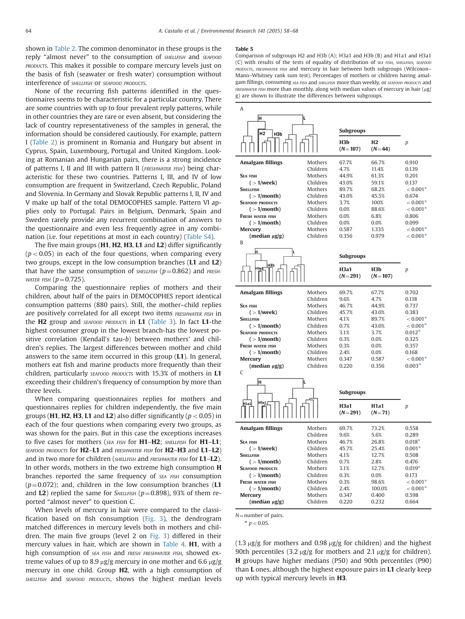<span id="page-6-0"></span>shown in [Table 2](#page-4-0). The common denominator in these groups is the reply "almost never" to the consumption of SHELLFISH and SEAFOOD PRODUCTS. This makes it possible to compare mercury levels just on the basis of fish (seawater or fresh water) consumption without interference of SHELLFISH or SEAFOOD PRODUCTS.

None of the recurring fish patterns identified in the questionnaires seems to be characteristic for a particular country. There are some countries with up to four prevalent reply patterns, while in other countries they are rare or even absent, but considering the lack of country representativeness of the samples in general, the information should be considered cautiously. For example, pattern I ([Table 2\)](#page-4-0) is prominent in Romania and Hungary but absent in Cyprus, Spain, Luxembourg, Portugal and United Kingdom. Looking at Romanian and Hungarian pairs, there is a strong incidence of patterns I, II and III with pattern II (FRESHWATER FISH) being characteristic for these two countries. Patterns I, III, and IV of low consumption are frequent in Switzerland, Czech Republic, Poland and Slovenia. In Germany and Slovak Republic patterns I, II, IV and V make up half of the total DEMOCOPHES sample. Pattern VI applies only to Portugal. Pairs in Belgium, Denmark, Spain and Sweden rarely provide any recurrent combination of answers to the questionnaire and even less frequently agree in any combination (i.e. four repetitions at most in each country) (Table S4).

The five main groups (H1, H2, H3, L1 and L2) differ significantly  $(p<0.05)$  in each of the four questions, when comparing every two groups, except in the low consumption branches (L1 and L2) that have the same consumption of  $SHELLFISH$  ( $p=0.862$ ) and FRESH-WATER FISH  $(p=0.725)$ .

Comparing the questionnaire replies of mothers and their children, about half of the pairs in DEMOCOPHES report identical consumption patterns (880 pairs). Still, the mother–child replies are positively correlated for all except two items FRESHWATER FISH in the H2 group and SEAFOOD PRODUCTS in L1 [\(Table 3](#page-5-0)). In fact L1-the highest consumer group in the lowest branch-has the lowest positive correlation (Kendall's tau-b) between mothers' and children's replies. The largest differences between mother and child answers to the same item occurred in this group (L1). In general, mothers eat fish and marine products more frequently than their children, particularly SEAFOOD PRODUCTS with 15.3% of mothers in L1 exceeding their children's frequency of consumption by more than three levels.

When comparing questionnaires replies for mothers and questionnaires replies for children independently, the five main groups (H1, H2, H3, L1 and L2) also differ significantly ( $p < 0.05$ ) in each of the four questions when comparing every two groups, as was shown for the pairs. But in this case the exceptions increases to five cases for mothers (SEA FISH for H1–H2; SHELLFISH for H1–L1; SEAFOOD PRODUCTS for H2-L1 and FRESHWATER FISH for H2-H3 and L1-L2) and in two more for children (SHELLFISH and FRESHWATER FISH for L1-L2). In other words, mothers in the two extreme high consumption H branches reported the same frequency of SEA FISH consumption  $(p=0.072)$ ; and, children in the low consumption branches (L1 and  $L2$ ) replied the same for SHELLFISH ( $p=0.898$ ), 93% of them reported "almost never" to question C.

When levels of mercury in hair were compared to the classification based on fish consumption ([Fig. 3](#page-4-0)), the dendrogram matched differences in mercury levels both in mothers and children. The main five groups (level 2 on [Fig. 3\)](#page-4-0) differed in their mercury values in hair, which are shown in [Table 4.](#page-5-0) H1, with a high consumption of SEA FISH and FRESH FRESHWATER FISH, showed extreme values of up to 8.9  $\mu$ g/g mercury in one mother and 6.6  $\mu$ g/g mercury in one child. Group H2, with a high consumption of SHELLFISH and SEAFOOD PRODUCTS, Shows the highest median levels

#### Table 5

Comparison of subgroups H2 and H3b (A); H3a1 and H3b (B) and H1a1 and H3a1 (C) with results of the tests of equality of distribution of SEA FISH, SHELLFISH, SEAFOOD PRODUCTS, FRESHWATER FISH and mercury in hair between both subgroups (Wilcoxon– Mann–Whitney rank sum test). Percentages of mothers or children having amalgam fillings, consuming SEA FISH and SHELLFISH more than weekly, or SEAFOOD PRODUCTS and FRESHWATER FISH more than monthly, along with median values of mercury in hair ( $\mu$ g/ g) are shown to illustrate the differences between subgroups.

| Α                       |                            |                          |                            |                |  |  |  |
|-------------------------|----------------------------|--------------------------|----------------------------|----------------|--|--|--|
| H                       | L                          |                          |                            |                |  |  |  |
| H <sub>2</sub><br>H3b   |                            | <b>Subgroups</b>         |                            |                |  |  |  |
|                         |                            | H3b<br>$(N=107)$         | H <sub>2</sub><br>$(N=44)$ | p              |  |  |  |
| <b>Amalgam fillings</b> | Mothers                    | 67.7%                    | 66.7%                      | 0.910          |  |  |  |
| <b>SEA FISH</b>         | Children<br><b>Mothers</b> | 4.7%<br>44.9%            | 11.4%<br>61.3%             | 0.139<br>0.201 |  |  |  |
| $($ > 1/week)           | Children                   | 43.0%                    | 59.1%                      | 0.137          |  |  |  |
| <b>SHELLFISH</b>        | Mothers                    | 89.7%                    | 68.2%                      | $< 0.001*$     |  |  |  |
| $($ > 1/month)          | Children                   | 43.0%                    | 45.5%                      | 0.674          |  |  |  |
| <b>SEAFOOD PRODUCTS</b> | Mothers                    | 3.7%                     | 100%                       | $< 0.001^{*}$  |  |  |  |
| $($ > 1/month)          | Children                   | 0.0%                     | 88.6%                      | $< 0.001^{*}$  |  |  |  |
| <b>FRESH WATER FISH</b> | Mothers                    | 0.0%                     | 6.8%                       | 0.806          |  |  |  |
| $($ > 1/month)          | Children                   | 0.0%                     | 0.0%                       | 0.099          |  |  |  |
| <b>Mercury</b>          | Mothers                    | 0.587                    | 1.335                      | $< 0.001*$     |  |  |  |
| (median $\mu$ g/g)      | Children                   | 0.356                    | 0.979                      | $< 0.001*$     |  |  |  |
| B                       |                            |                          |                            |                |  |  |  |
| lн                      |                            | <b>Subgroups</b>         |                            |                |  |  |  |
|                         |                            |                          |                            |                |  |  |  |
|                         |                            | <b>H3a1</b><br>$(N=291)$ | H3b<br>$(N=107)$           | p              |  |  |  |
|                         |                            |                          |                            |                |  |  |  |
| Amalgam fillings        | Mothers                    | 69.7%                    | 67.7%                      | 0.702          |  |  |  |
|                         | Children                   | 9.6%                     | 4.7%                       | 0.118          |  |  |  |
| <b>SEA FISH</b>         | Mothers                    | 46.7%                    | 44.9%                      | 0.737          |  |  |  |
| $($ > 1/week)           | Children                   | 45.7%                    | 43.0%                      | 0.383          |  |  |  |
| <b>SHELLFISH</b>        | Mothers                    | 4.1%                     | 89.7%                      | $< 0.001*$     |  |  |  |
| $($ > 1/month)          | Children                   | 0.7%                     | 43.0%                      | $< 0.001*$     |  |  |  |
| <b>SEAFOOD PRODUCTS</b> | Mothers                    | 3.1%                     | 3.7%                       | $0.012*$       |  |  |  |
| $($ > 1/month)          | Children                   | 0.3%                     | 0.0%                       | 0.325          |  |  |  |
| <b>FRESH WATER FISH</b> | Mothers                    | 0.3%                     | 0.0%                       | 0.357          |  |  |  |
| $($ > 1/month)          | Children                   | 2.4%                     | 0.0%                       | 0.168          |  |  |  |
| <b>Mercury</b>          | Mothers                    | 0.347                    | 0.587                      | $< 0.001*$     |  |  |  |
| (median $\mu$ g/g)      | Children                   | 0.220                    | 0.356                      | $0.003*$       |  |  |  |
| C                       |                            |                          |                            |                |  |  |  |
| ŀн                      | L                          |                          |                            |                |  |  |  |
|                         |                            | <b>Subgroups</b>         |                            |                |  |  |  |
| H3a1<br><b>H1a1</b>     |                            | <b>H3a1</b>              | <b>H1a1</b>                | p              |  |  |  |
|                         |                            | $(N=291)$                | $(N=71)$                   |                |  |  |  |
| <b>Amalgam fillings</b> | Mothers                    | 69.7%                    | 73.2%                      | 0.558          |  |  |  |
|                         | Children                   | 9.6%                     | 5.6%                       | 0.289          |  |  |  |
| <b>SEA FISH</b>         | Mothers                    | 46.7%                    | 26.8%                      | $0.018*$       |  |  |  |
| $($ > 1/week)           | Children                   | 45.7%                    | 25.4%                      | $0.001*$       |  |  |  |
| <b>SHELLFISH</b>        | Mothers                    | 4.1%                     | 12.7%                      | 0.508          |  |  |  |
| $($ > 1/month)          | Children                   | 0.7%                     | 2.8%                       | 0.476          |  |  |  |
| <b>SEAFOOD PRODUCTS</b> | Mothers                    | 3.1%                     | 12.7%                      | $0.019*$       |  |  |  |
| $($ > 1/month)          | Children                   | 0.3%                     | 0.0%                       | 0.173          |  |  |  |
| <b>FRESH WATER FISH</b> | Mothers                    | 0.3%                     | 98.6%                      | $< 0.001*$     |  |  |  |
| $($ > 1/month)          | Children                   | 2.4%                     | 100.0%                     | $< 0.001*$     |  |  |  |
| <b>Mercury</b>          | Mothers                    | 0.347                    | 0.400                      | 0.598          |  |  |  |
| (median $\mu$ g/g)      | Children                   | 0.220                    | 0.232                      | 0.664          |  |  |  |
|                         |                            |                          |                            |                |  |  |  |

 $N$ = number of pairs.

 $p < 0.05$ .

( $1.3 \,\mu$ g/g for mothers and  $0.98 \,\mu$ g/g for children) and the highest 90th percentiles (3.2  $\mu$ g/g for mothers and 2.1  $\mu$ g/g for children). H groups have higher medians (P50) and 90th percentiles (P90) than L ones, although the highest exposure pairs in L1 clearly keep up with typical mercury levels in H3.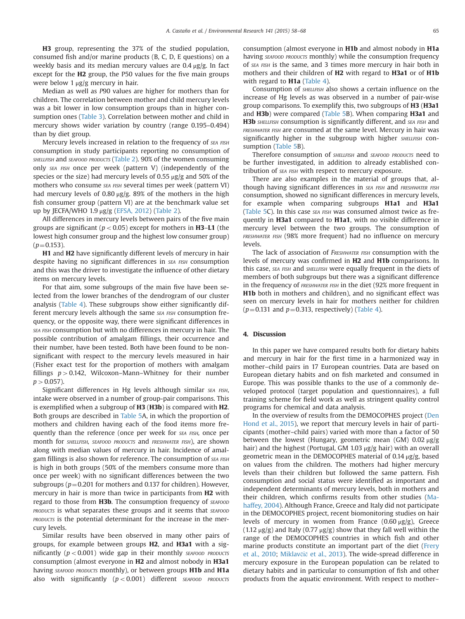H3 group, representing the 37% of the studied population, consumed fish and/or marine products (B, C, D, E questions) on a weekly basis and its median mercury values are  $0.4 \mu$ g/g. In fact except for the H2 group, the P50 values for the five main groups were below  $1 \mu g/g$  mercury in hair.

Median as well as P90 values are higher for mothers than for children. The correlation between mother and child mercury levels was a bit lower in low consumption groups than in higher consumption ones [\(Table 3](#page-5-0)). Correlation between mother and child in mercury shows wider variation by country (range 0.195–0.494) than by diet group.

Mercury levels increased in relation to the frequency of SEA FISH consumption in study participants reporting no consumption of SHELLFISH and SEAFOOD PRODUCTS ([Table 2](#page-4-0)). 90% of the women consuming only SEA FISH once per week (pattern V) (independently of the species or the size) had mercury levels of 0.55 μg/g and 50% of the mothers who consume SEA FISH several times per week (pattern VI) had mercury levels of 0.80  $\mu$ g/g. 89% of the mothers in the high fish consumer group (pattern VI) are at the benchmark value set up by JECFA/WHO 1.9 μg/g [\(EFSA, 2012](#page-9-0)) ([Table 2](#page-4-0)).

All differences in mercury levels between pairs of the five main groups are significant ( $p < 0.05$ ) except for mothers in H3–L1 (the lowest high consumer group and the highest low consumer group)  $(p=0.153)$ .

H1 and H2 have significantly different levels of mercury in hair despite having no significant differences in SEA FISH consumption and this was the driver to investigate the influence of other dietary items on mercury levels.

For that aim, some subgroups of the main five have been selected from the lower branches of the dendrogram of our cluster analysis ([Table 4](#page-5-0)). These subgroups show either significantly different mercury levels although the same SEA FISH consumption frequency, or the opposite way, there were significant differences in SEA FISH consumption but with no differences in mercury in hair. The possible contribution of amalgam fillings, their occurrence and their number, have been tested. Both have been found to be nonsignificant with respect to the mercury levels measured in hair (Fisher exact test for the proportion of mothers with amalgam fillings  $p > 0.142$ , Wilcoxon–Mann–Whitney for their number  $p > 0.057$ ).

Significant differences in Hg levels although similar SEA FISH, intake were observed in a number of group-pair comparisons. This is exemplified when a subgroup of H3 (H3b) is compared with H2. Both groups are described in [Table 5A](#page-6-0), in which the proportion of mothers and children having each of the food items more frequently than the reference (once per week for SEA FISH, once per month for SHELLFISH, SEAFOOD PRODUCTS and FRESHWATER FISH), are shown along with median values of mercury in hair. Incidence of amalgam fillings is also shown for reference. The consumption of SEA FISH is high in both groups (50% of the members consume more than once per week) with no significant differences between the two subgroups ( $p=0.201$  for mothers and 0.137 for children). However, mercury in hair is more than twice in participants from **H2** with regard to those from H3b. The consumption frequency of SEAFOOD PRODUCTS is what separates these groups and it seems that SEAFOOD PRODUCTS is the potential determinant for the increase in the mercury levels.

Similar results have been observed in many other pairs of groups, for example between groups H2, and H3a1 with a significantly ( $p < 0.001$ ) wide gap in their monthly SEAFOOD PRODUCTS consumption (almost everyone in H2 and almost nobody in H3a1 having SEAFOOD PRODUCTS monthly), or between groups H1b and H1a also with significantly  $(p < 0.001)$  different SEAFOOD PRODUCTS

consumption (almost everyone in H1b and almost nobody in H1a having SEAFOOD PRODUCTS monthly) while the consumption frequency of SEA FISH is the same, and 3 times more mercury in hair both in mothers and their children of H2 with regard to H3a1 or of H1b with regard to **H1a** ([Table 4](#page-5-0)).

Consumption of SHELLFISH also shows a certain influence on the increase of Hg levels as was observed in a number of pair-wise group comparisons. To exemplify this, two subgroups of H3 (H3a1 and H3b) were compared ([Table 5](#page-6-0)B). When comparing H3a1 and **H3b** SHELLFISH consumption is significantly different, and SEA FISH and FRESHWATER FISH are consumed at the same level. Mercury in hair was significantly higher in the subgroup with higher SHELLFISH consumption [\(Table 5B](#page-6-0)).

Therefore consumption of SHELLFISH and SEAFOOD PRODUCTS need to be further investigated, in addition to already established contribution of SEA FISH with respect to mercury exposure.

There are also examples in the material of groups that, although having significant differences in SEA FISH and FRESHWATER FISH consumption, showed no significant differences in mercury levels, for example when comparing subgroups H1a1 and H3a1 ([Table 5C](#page-6-0)). In this case SEA FISH was consumed almost twice as frequently in H3a1 compared to H1a1, with no visible difference in mercury level between the two groups. The consumption of FRESHWATER FISH (98% more frequent) had no influence on mercury levels.

The lack of association of FRESHWATER FISH consumption with the levels of mercury was confirmed in H2 and H1b comparisons. In this case, SEA FISH and SHELLFISH were equally frequent in the diets of members of both subgroups but there was a significant difference in the frequency of FRESHWATER FISH in the diet (92% more frequent in H1b both in mothers and children), and no significant effect was seen on mercury levels in hair for mothers neither for children  $(p=0.131$  and  $p=0.313$ , respectively) ([Table 4](#page-5-0)).

## 4. Discussion

In this paper we have compared results both for dietary habits and mercury in hair for the first time in a harmonized way in mother–child pairs in 17 European countries. Data are based on European dietary habits and on fish marketed and consumed in Europe. This was possible thanks to the use of a commonly developed protocol (target population and questionnaires), a full training scheme for field work as well as stringent quality control programs for chemical and data analysis.

In the overview of results from the DEMOCOPHES project [\(Den](#page-9-0) [Hond et al., 2015\)](#page-9-0), we report that mercury levels in hair of participants (mother–child pairs) varied with more than a factor of 50 between the lowest (Hungary, geometric mean (GM)  $0.02 \mu g/g$ hair) and the highest (Portugal, GM 1.03 μg/g hair) with an overall geometric mean in the DEMOCOPHES material of 0.14 μg/g, based on values from the children. The mothers had higher mercury levels than their children but followed the same pattern. Fish consumption and social status were identified as important and independent determinants of mercury levels, both in mothers and their children, which confirms results from other studies [\(Ma](#page-10-0)[haffey, 2004\)](#page-10-0). Although France, Greece and Italy did not participate in the DEMOCOPHES project, recent biomonitoring studies on hair levels of mercury in women from France  $(0.60 \mu g/g)$ , Greece (1.12  $\mu$ g/g) and Italy (0.77  $\mu$ g/g) show that they fall well within the range of the DEMOCOPHES countries in which fish and other marine products constitute an important part of the diet [\(Frery](#page-9-0) [et al., 2010](#page-9-0); Miklavčič [et al., 2013](#page-10-0)). The wide-spread difference in mercury exposure in the European population can be related to dietary habits and in particular to consumption of fish and other products from the aquatic environment. With respect to mother–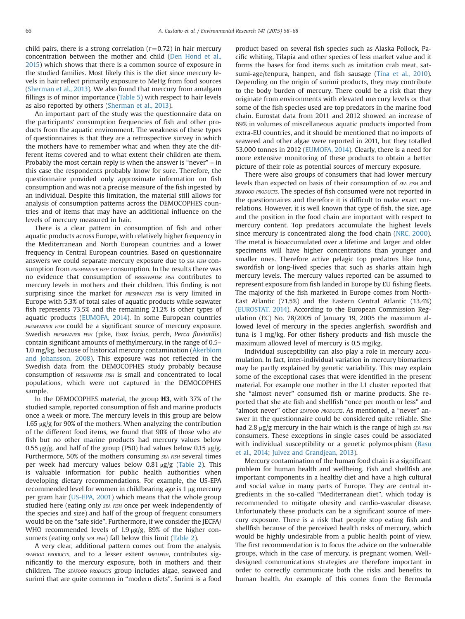child pairs, there is a strong correlation  $(r=0.72)$  in hair mercury concentration between the mother and child ([Den Hond et al.,](#page-9-0) [2015\)](#page-9-0) which shows that there is a common source of exposure in the studied families. Most likely this is the diet since mercury levels in hair reflect primarily exposure to MeHg from food sources ([Sherman et al., 2013\)](#page-10-0). We also found that mercury from amalgam fillings is of minor importance ([Table 5\)](#page-6-0) with respect to hair levels as also reported by others [\(Sherman et al., 2013](#page-10-0)).

An important part of the study was the questionnaire data on the participants' consumption frequencies of fish and other products from the aquatic environment. The weakness of these types of questionnaires is that they are a retrospective survey in which the mothers have to remember what and when they ate the different items covered and to what extent their children ate them. Probably the most certain reply is when the answer is "never" – in this case the respondents probably know for sure. Therefore, the questionnaire provided only approximate information on fish consumption and was not a precise measure of the fish ingested by an individual. Despite this limitation, the material still allows for analysis of consumption patterns across the DEMOCOPHES countries and of items that may have an additional influence on the levels of mercury measured in hair.

There is a clear pattern in consumption of fish and other aquatic products across Europe, with relatively higher frequency in the Mediterranean and North European countries and a lower frequency in Central European countries. Based on questionnaire answers we could separate mercury exposure due to SEA FISH consumption from FRESHWATER FISH CONSumption. In the results there was no evidence that consumption of FRESHWATER FISH contributes to mercury levels in mothers and their children. This finding is not surprising since the market for FRESHWATER FISH is very limited in Europe with 5.3% of total sales of aquatic products while seawater fish represents 73.5% and the remaining 21.2% is other types of aquatic products ([EUMOFA, 2014\)](#page-9-0). In some European countries FRESHWATER FISH could be a significant source of mercury exposure. Swedish FRESHWATER FISH (pike, Esox lucius, perch, Perca fluviatilis) contain significant amounts of methylmercury, in the range of 0.5– 1.0 mg/kg, because of historical mercury contamination ( $Å$ kerblom [and Johansson, 2008\)](#page-9-0). This exposure was not reflected in the Swedish data from the DEMOCOPHES study probably because consumption of FRESHWATER FISH is small and concentrated to local populations, which were not captured in the DEMOCOPHES sample.

In the DEMOCOPHES material, the group H3, with 37% of the studied sample, reported consumption of fish and marine products once a week or more. The mercury levels in this group are below 1.65  $\mu$ g/g for 90% of the mothers. When analyzing the contribution of the different food items, we found that 90% of those who ate fish but no other marine products had mercury values below 0.55  $\mu$ g/g, and half of the group (P50) had values below 0.15  $\mu$ g/g. Furthermore, 50% of the mothers consuming SEA FISH several times per week had mercury values below 0.81 μg/g [\(Table 2](#page-4-0)). This is valuable information for public health authorities when developing dietary recommendations. For example, the US-EPA recommended level for women in childbearing age is 1 μg mercury per gram hair [\(US-EPA, 2001\)](#page-10-0) which means that the whole group studied here (eating only SEA FISH once per week independently of the species and size) and half of the group of frequent consumers would be on the "safe side". Furthermore, if we consider the JECFA/ WHO recommended levels of 1.9 μg/g, 89% of the higher con-sumers (eating only SEA FISH) fall below this limit ([Table 2](#page-4-0)).

A very clear, additional pattern comes out from the analysis. SEAFOOD PRODUCTS, and to a lesser extent SHELLFISH, contributes significantly to the mercury exposure, both in mothers and their children. The SEAFOOD PRODUCTS group includes algae, seaweed and surimi that are quite common in "modern diets". Surimi is a food product based on several fish species such as Alaska Pollock, Pacific whiting, Tilapia and other species of less market value and it forms the bases for food items such as imitation crab meat, satsumi-age/tenpura, hanpen, and fish sausage ([Tina et al., 2010\)](#page-10-0). Depending on the origin of surimi products, they may contribute to the body burden of mercury. There could be a risk that they originate from environments with elevated mercury levels or that some of the fish species used are top predators in the marine food chain. Eurostat data from 2011 and 2012 showed an increase of 69% in volumes of miscellaneous aquatic products imported from extra-EU countries, and it should be mentioned that no imports of seaweed and other algae were reported in 2011, but they totalled 53.000 tonnes in 2012 [\(EUMOFA, 2014](#page-9-0)). Clearly, there is a need for more extensive monitoring of these products to obtain a better picture of their role as potential sources of mercury exposure.

There were also groups of consumers that had lower mercury levels than expected on basis of their consumption of SEA FISH and SEAFOOD PRODUCTS. The species of fish consumed were not reported in the questionnaires and therefore it is difficult to make exact correlations. However, it is well known that type of fish, the size, age and the position in the food chain are important with respect to mercury content. Top predators accumulate the highest levels since mercury is concentrated along the food chain [\(NRC, 2000\)](#page-10-0). The metal is bioaccumulated over a lifetime and larger and older specimens will have higher concentrations than younger and smaller ones. Therefore active pelagic top predators like tuna, swordfish or long-lived species that such as sharks attain high mercury levels. The mercury values reported can be assumed to represent exposure from fish landed in Europe by EU fishing fleets. The majority of the fish marketed in Europe comes from North-East Atlantic (71.5%) and the Eastern Central Atlantic (13.4%) ([EUROSTAT, 2014\)](#page-9-0). According to the European Commission Regulation (EC) No. 78/2005 of January 19, 2005 the maximum allowed level of mercury in the species anglerfish, swordfish and tuna is 1 mg/kg. For other fishery products and fish muscle the maximum allowed level of mercury is 0.5 mg/kg.

Individual susceptibility can also play a role in mercury accumulation. In fact, inter-individual variation in mercury biomarkers may be partly explained by genetic variability. This may explain some of the exceptional cases that were identified in the present material. For example one mother in the L1 cluster reported that she "almost never" consumed fish or marine products. She reported that she ate fish and shellfish "once per month or less" and "almost never" other SEAFOOD PRODUCTS. As mentioned, a "never" answer in the questionnaire could be considered quite reliable. She had 2.8  $\mu$ g/g mercury in the hair which is the range of high SEA FISH consumers. These exceptions in single cases could be associated with individual susceptibility or a genetic polymorphism [\(Basu](#page-9-0) [et al., 2014](#page-9-0); [Julvez and Grandjean, 2013](#page-10-0)).

Mercury contamination of the human food chain is a significant problem for human health and wellbeing. Fish and shellfish are important components in a healthy diet and have a high cultural and social value in many parts of Europe. They are central ingredients in the so-called "Mediterranean diet", which today is recommended to mitigate obesity and cardio-vascular disease. Unfortunately these products can be a significant source of mercury exposure. There is a risk that people stop eating fish and shellfish because of the perceived health risks of mercury, which would be highly undesirable from a public health point of view. The first recommendation is to focus the advice on the vulnerable groups, which in the case of mercury, is pregnant women. Welldesigned communications strategies are therefore important in order to correctly communicate both the risks and benefits to human health. An example of this comes from the Bermuda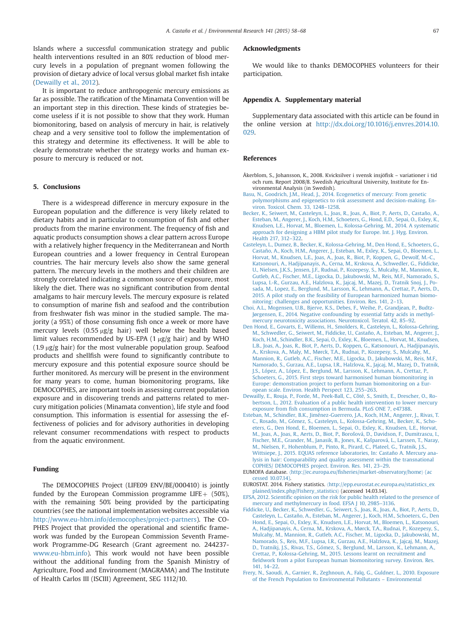<span id="page-9-0"></span>Islands where a successful communication strategy and public health interventions resulted in an 80% reduction of blood mercury levels in a population of pregnant women following the provision of dietary advice of local versus global market fish intake (Dewailly et al., 2012).

It is important to reduce anthropogenic mercury emissions as far as possible. The ratification of the Minamata Convention will be an important step in this direction. These kinds of strategies become useless if it is not possible to show that they work. Human biomonitoring, based on analysis of mercury in hair, is relatively cheap and a very sensitive tool to follow the implementation of this strategy and determine its effectiveness. It will be able to clearly demonstrate whether the strategy works and human exposure to mercury is reduced or not.

#### 5. Conclusions

There is a widespread difference in mercury exposure in the European population and the difference is very likely related to dietary habits and in particular to consumption of fish and other products from the marine environment. The frequency of fish and aquatic products consumption shows a clear pattern across Europe with a relatively higher frequency in the Mediterranean and North European countries and a lower frequency in Central European countries. The hair mercury levels also show the same general pattern. The mercury levels in the mothers and their children are strongly correlated indicating a common source of exposure, most likely the diet. There was no significant contribution from dental amalgams to hair mercury levels. The mercury exposure is related to consumption of marine fish and seafood and the contribution from freshwater fish was minor in the studied sample. The majority (a 95%) of those consuming fish once a week or more have mercury levels  $(0.55 \mu g/g$  hair) well below the health based limit values recommended by US-EPA (1  $\mu$ g/g hair) and by WHO  $(1.9 \,\mu g/g$  hair) for the most vulnerable population group. Seafood products and shellfish were found to significantly contribute to mercury exposure and this potential exposure source should be further monitored. As mercury will be present in the environment for many years to come, human biomonitoring programs, like DEMOCOPHES, are important tools in assessing current population exposure and in discovering trends and patterns related to mercury mitigation policies (Minamata convention), life style and food consumption. This information is essential for assessing the effectiveness of policies and for advisory authorities in developing relevant consumer recommendations with respect to products from the aquatic environment.

# Funding

The DEMOCOPHES Project (LIFE09 ENV/BE/000410) is jointly funded by the European Commission programme LIFE $+$  (50%), with the remaining 50% being provided by the participating countries (see the national implementation websites accessible via [http://www.eu-hbm.info/democophes/project-partners\)](http://www.eu-hbm.info/democophes/project-partners). The CO-PHES Project that provided the operational and scientific framework was funded by the European Commission Seventh Framework Programme-DG Research (Grant agreement no. 244237 [www.eu-hbm.info\)](http://www.eu-hbm.info). This work would not have been possible without the additional funding from the Spanish Ministry of Agriculture, Food and Environment (MAGRAMA) and The Institute of Health Carlos III (ISCIII) Agreement, SEG 1112/10.

# Acknowledgments

We would like to thanks DEMOCOPHES volunteers for their participation.

#### Appendix A. Supplementary material

Supplementary data associated with this article can be found in the online version at [http://dx.doi.org/10.1016/j.envres.2014.10.](http://dx.doi.org/10.1016/j.envres.2014.10.029) [029.](http://dx.doi.org/10.1016/j.envres.2014.10.029)

#### References

- Åkerblom, S., Johansson, K., 2008. Kvicksilver i svensk insjö fisk variationer i tid och rum. Report 2008/8. Swedish Agricultural University, Institute for Environmental Analysis (in Swedish).
- [Basu, N., Goodrich, J.M., Head, J., 2014. Ecogenetics of mercury: From genetic](http://refhub.elsevier.com/S0013-9351(14)00393-4/sbref1) [polymorphisms and epigenetics to risk assessment and decision-making. En](http://refhub.elsevier.com/S0013-9351(14)00393-4/sbref1)[viron. Toxicol. Chem. 33, 1248](http://refhub.elsevier.com/S0013-9351(14)00393-4/sbref1)–1258.
- [Becker, K., Seiwert, M., Casteleyn, L., Joas, R., Joas, A., Biot, P., Aerts, D., Castaño, A.,](http://refhub.elsevier.com/S0013-9351(14)00393-4/sbref2) [Esteban, M., Angerer, J., Koch, H.M., Schoeters, G., Hond, E.D., Sepai, O., Exley, K.,](http://refhub.elsevier.com/S0013-9351(14)00393-4/sbref2) [Knudsen, L.E., Horvat, M., Bloemen, L., Kolossa-Gehring, M., 2014. A systematic](http://refhub.elsevier.com/S0013-9351(14)00393-4/sbref2) [approach for designing a HBM pilot study for Europe. Int. J. Hyg. Environ.](http://refhub.elsevier.com/S0013-9351(14)00393-4/sbref2) [Health 217, 312](http://refhub.elsevier.com/S0013-9351(14)00393-4/sbref2)–322.
- [Casteleyn, L., Dumez, B., Becker, K., Kolossa-Gehring, M., Den Hond, E., Schoeters, G.,](http://refhub.elsevier.com/S0013-9351(14)00393-4/sbref3) [Castaño, A., Koch, H.M., Angerer, J., Esteban, M., Exley, K., Sepai, O., Bloemen, L.,](http://refhub.elsevier.com/S0013-9351(14)00393-4/sbref3) [Horvat, M., Knudsen, L.E., Joas, A., Joas, R., Biot, P., Koppen, G., Dewolf, M.-C.,](http://refhub.elsevier.com/S0013-9351(14)00393-4/sbref3) [Katsonouri, A., Hadjipanayis, A., Cerna, M., Krskova, A., Schwedler, G., Fiddicke,](http://refhub.elsevier.com/S0013-9351(14)00393-4/sbref3) [U., Nielsen, J.K.S., Jensen, J.F., Rudnai, P., Kozepesy, S., Mulcahy, M., Mannion, R.,](http://refhub.elsevier.com/S0013-9351(14)00393-4/sbref3) [Gutleb, A.C., Fischer, M.E., Ligocka, D., Jakubowski, M., Reis, M.F., Namorado, S.,](http://refhub.elsevier.com/S0013-9351(14)00393-4/sbref3) [Lupsa, I.-R., Gurzau, A.E., Halzlova, K., Jajcaj, M., Mazej, D., Tratnik Snoj, J., Po](http://refhub.elsevier.com/S0013-9351(14)00393-4/sbref3)[sada, M., Lopez, E., Berglund, M., Larsson, K., Lehmann, A., Crettaz, P., Aerts, D.,](http://refhub.elsevier.com/S0013-9351(14)00393-4/sbref3) [2015. A pilot study on the feasibility of European harmonized human biomo](http://refhub.elsevier.com/S0013-9351(14)00393-4/sbref3)[nitoring: challenges and opportunities. Environ. Res. 141, 2](http://refhub.elsevier.com/S0013-9351(14)00393-4/sbref3)–13.
- [Choi, A.L., Mogensen, U.B., Bjerve, K.S., Debes, F., Weihe, P., Grandjean, P., Budtz-](http://refhub.elsevier.com/S0013-9351(14)00393-4/sbref4)[Jørgensen, E., 2014. Negative confounding by essential fatty acids in methyl](http://refhub.elsevier.com/S0013-9351(14)00393-4/sbref4)[mercury neurotoxicity associations. Neurotoxicol. Teratol. 42, 85](http://refhub.elsevier.com/S0013-9351(14)00393-4/sbref4)–92.
- [Den Hond, E., Govarts, E., Willems, H., Smolders, R., Casteleyn, L., Kolossa-Gehring,](http://refhub.elsevier.com/S0013-9351(14)00393-4/sbref5) [M., Schwedler, G., Seiwert, M., Fiddicke, U., Castaño, A., Esteban, M., Angerer, J.,](http://refhub.elsevier.com/S0013-9351(14)00393-4/sbref5) [Koch, H.M., Schindler, B.K., Sepai, O., Exley, K., Bloemen, L., Horvat, M., Knudsen,](http://refhub.elsevier.com/S0013-9351(14)00393-4/sbref5) [L.B., Joas, A., Joas, R., Biot, P., Aerts, D., Koppen, G., Katsonouri, A., Hadjipanayis,](http://refhub.elsevier.com/S0013-9351(14)00393-4/sbref5) [A., Krskova, A., Maly, M., Mørck, T.A., Rudnai, P., Kozepesy, S., Mulcahy, M.,](http://refhub.elsevier.com/S0013-9351(14)00393-4/sbref5) [Mannion, R., Gutleb, A.C., Fischer, M.E., Ligocka, D., Jakubowski, M., Reis, M.F.,](http://refhub.elsevier.com/S0013-9351(14)00393-4/sbref5) [Namorado, S., Gurzau, A.E., Lupsa, I.R., Halzlova, K., Jajcaj, M., Mazej, D., Tratnik,](http://refhub.elsevier.com/S0013-9351(14)00393-4/sbref5) [J.S., López, A., López, E., Berglund, M., Larsson, K., Lehmann, A., Crettaz, P.,](http://refhub.elsevier.com/S0013-9351(14)00393-4/sbref5) [Schoeters, G., 2015. First steps toward harmonised human biomonitoring in](http://refhub.elsevier.com/S0013-9351(14)00393-4/sbref5) [Europe: demonstration project to perform human biomonitoring on a Eur](http://refhub.elsevier.com/S0013-9351(14)00393-4/sbref5)[opean scale. Environ. Health Perspect 123, 255](http://refhub.elsevier.com/S0013-9351(14)00393-4/sbref5)–263.
- [Dewailly, E., Rouja, P., Forde, M., Peek-Ball, C., Côté, S., Smith, E., Drescher, O., Ro](http://refhub.elsevier.com/S0013-9351(14)00393-4/sbref6)[bertson, L., 2012. Evaluation of a public health intervention to lower mercury](http://refhub.elsevier.com/S0013-9351(14)00393-4/sbref6) exposure from fi[sh consumption in Bermuda. PLoS ONE 7, e47388.](http://refhub.elsevier.com/S0013-9351(14)00393-4/sbref6)
- [Esteban, M., Schindler, B.K., Jiménez-Guerrero, J.A., Koch, H.M., Angerer, J., Rivas, T.](http://refhub.elsevier.com/S0013-9351(14)00393-4/sbref7) [C., Rosado, M., Gómez, S., Casteleyn, L., Kolossa-Gehring, M., Becker, K., Scho](http://refhub.elsevier.com/S0013-9351(14)00393-4/sbref7)[eters, G., Den Hond, E., Bloemen, L., Sepai, O., Exley, K., Knudsen, L.E., Horvat,](http://refhub.elsevier.com/S0013-9351(14)00393-4/sbref7) [M., Joas, A., Joas, R., Aerts, D., Biot, P., Boro](http://refhub.elsevier.com/S0013-9351(14)00393-4/sbref7)šová, D., Davidson, F., Dumitrascu, I., [Fischer, M.E., Grander, M., Janasik, B., Jones, K., Ka](http://refhub.elsevier.com/S0013-9351(14)00393-4/sbref7)šparová, L., Larssen, T., Naray, [M., Nielsen, F., Hohenblum, P., Pinto, R., Pirard, C., Plateel, G., Tratnik, J.S.,](http://refhub.elsevier.com/S0013-9351(14)00393-4/sbref7) [Wittsiepe, J., 2015. EQUAS reference laboratories, In: Castaño A. Mercury ana](http://refhub.elsevier.com/S0013-9351(14)00393-4/sbref7)[lysis in hair: Comparability and quality assessment within the transnational](http://refhub.elsevier.com/S0013-9351(14)00393-4/sbref7) [COPHES/ DEMOCOPHES project. Environ. Res. 141, 23](http://refhub.elsevier.com/S0013-9351(14)00393-4/sbref7)–29.
- EUMOFA database. 〈http://ec.europa.eu/fi[sheries/market-observatory/home](http://ec.europa.eu/fisheries/market-observatory/home)〉 (ac [cessed 10.07.14\).](http://ec.europa.eu/fisheries/market-observatory/home)
- EUROSTAT. 2014. Fishery statistics. 〈[http://epp.eurostat.ec.europa.eu/statistics\\_ex](http://epp.eurostat.ec.europa.eu/statistics_explained/index.php/Fishery_statistics) [plained/index.php/Fishery\\_statistics](http://epp.eurostat.ec.europa.eu/statistics_explained/index.php/Fishery_statistics)〉 (accessed 14.03.14).
- EFSA, 2012. Scientifi[c opinion on the risk for public health related to the presence of](http://refhub.elsevier.com/S0013-9351(14)00393-4/sbref8) [mercury and methylmercury in food. EFSA J 10, 2985](http://refhub.elsevier.com/S0013-9351(14)00393-4/sbref8)–3136.
- [Fiddicke, U., Becker, K., Schwedler, G., Seiwert, S., Joas, R., Joas, A., Biot, P., Aerts, D.,](http://refhub.elsevier.com/S0013-9351(14)00393-4/sbref9) [Casteleyn, L., Castaño, A., Esteban, M., Angerer, J., Koch, H.M., Schoeters, G., Den](http://refhub.elsevier.com/S0013-9351(14)00393-4/sbref9) [Hond, E., Sepai, O., Exley, K., Knudsen, L.E., Horvat, M., Bloemen, L., Katsonouri,](http://refhub.elsevier.com/S0013-9351(14)00393-4/sbref9) [A., Hadjipanayis, A., Cerna, M., Krskova, A., Mørck, T.A., Rudnai, P., Kozepesy, S.,](http://refhub.elsevier.com/S0013-9351(14)00393-4/sbref9) [Mulcahy, M., Mannion, R., Gutleb, A.C., Fischer, M., Ligocka, D., Jakubowski, M.,](http://refhub.elsevier.com/S0013-9351(14)00393-4/sbref9) [Namorado, S., Reis, M.F., Lupsa, I.R., Gurzau, A.E., Halzlova, K., Jajcaj, M., Mazej,](http://refhub.elsevier.com/S0013-9351(14)00393-4/sbref9) [D., Tratnikj, J.S., Rivas, T.S., Gómez, S., Berglund, M., Larsson, K., Lehmann, A.,](http://refhub.elsevier.com/S0013-9351(14)00393-4/sbref9) [Crettaz, P., Kolossa-Gehring, M., 2015. Lessons learnt on recruitment and](http://refhub.elsevier.com/S0013-9351(14)00393-4/sbref9) fi[eldwork from a pilot European human biomonitoring survey. Environ. Res.](http://refhub.elsevier.com/S0013-9351(14)00393-4/sbref9) [141, 14](http://refhub.elsevier.com/S0013-9351(14)00393-4/sbref9)–22.
- [Frery, N., Saoudi, A., Garnier, R., Zeghnoun, A., Falq, G., Guldner, L., 2010. Exposure](http://refhub.elsevier.com/S0013-9351(14)00393-4/sbref10) [of the French Population to Environmental Pollutants](http://refhub.elsevier.com/S0013-9351(14)00393-4/sbref10) – Environmental